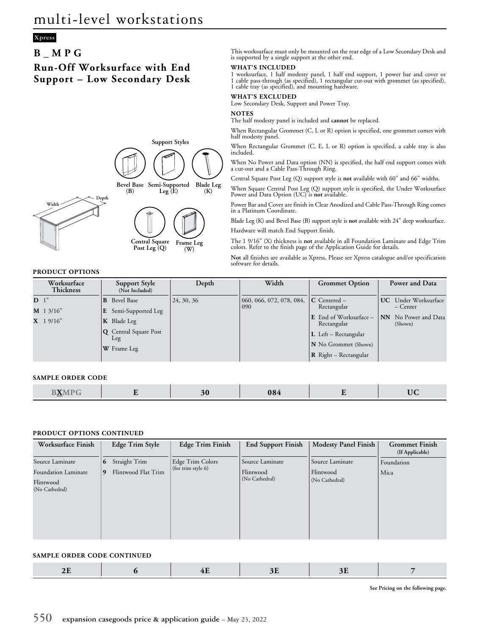## **Xpress**

# **B\_MPG**

# **Run-Off Worksurface with End Support – Low Secondary Desk**



#### This worksurface must only be mounted on the rear edge of a Low Secondary Desk and is supported by a single support at the other end.

#### **WHAT'S INCLUDED**

1 worksurface, 1 half modesty panel, 1 half end support, 1 power bar and cover or 1 cable pass-through (as specified), 1 rectangular cut-out with grommet (as specified), 1 cable tray (as specified), and mounting hardware.

### **WHAT'S EXCLUDED**

Low Secondary Desk, Support and Power Tray.

**NOTES**

The half modesty panel is included and **cannot** be replaced.

When Rectangular Grommet (C, L or R) option is specified, one grommet comes with half modesty panel.

When Rectangular Grommet (C, E, L or R) option is specified, a cable tray is also included.

When No Power and Data option (NN) is specified, the half end support comes with a cut-out and a Cable Pass-Through Ring.

Central Square Post Leg (Q) support style is **not** available with 60" and 66" widths.

When Square Central Post Leg (Q) support style is specified, the Under Worksurface Power and Data Option (UC) is **not** available.

Power Bar and Cover are finish in Clear Anodized and Cable Pass-Through Ring comes in a Platinum Coordinate.

Blade Leg (K) and Bevel Base (B) support style is **not** available with 24" deep worksurface. Hardware will match End Support finish.

The 1 9/16" (X) thickness is **not** available in all Foundation Laminate and Edge Trim colors. Refer to the finish page of the Application Guide for details.

**Not** all finishes are available as Xpress, Please see Xpress catalogue and/or specification software for details.

### **PRODUCT OPTIONS**

| Worksurface<br><b>Thickness</b> | Support Style<br>(Not Included)     | Depth      | Width                    | <b>Grommet Option</b>                 | Power and Data                         |
|---------------------------------|-------------------------------------|------------|--------------------------|---------------------------------------|----------------------------------------|
| D <sup>1</sup>                  | Bevel Base<br>B                     | 24, 30, 36 | 060, 066, 072, 078, 084, | $\mathsf{IC}$ Centered –              | <b>UC</b> Under Worksurface            |
| $M$ 1 3/16"                     | $\mathbf{E}$ Semi-Supported Leg     |            | 090                      | Rectangular                           | – Center                               |
| $X$ 19/16"                      | $\mathbf K$ Blade Leg               |            |                          | E End of Worksurface -<br>Rectangular | <b>NN</b> No Power and Data<br>(Shown) |
|                                 | <b>Q</b> Central Square Post<br>Leg |            |                          | $\bf L$ Left – Rectangular            |                                        |
|                                 | W Frame Leg                         |            |                          | N No Grommet (Shown)                  |                                        |
|                                 |                                     |            |                          | $\mathbf R$ Right – Rectangular       |                                        |

#### **SAMPLE ORDER CODE**

| $- - -$<br>M<br>084<br>$\mathbf{N}$<br>$\sim$<br>$\frac{1}{2}$<br>$\sim$ |  |
|--------------------------------------------------------------------------|--|
|--------------------------------------------------------------------------|--|

#### **PRODUCT OPTIONS CONTINUED**

| Worksurface Finish                                 |             | Edge Trim Style     | <b>Edge Trim Finish</b> | <b>End Support Finish</b>   | <b>Modesty Panel Finish</b> | <b>Grommet Finish</b><br>(If Applicable) |
|----------------------------------------------------|-------------|---------------------|-------------------------|-----------------------------|-----------------------------|------------------------------------------|
| Source Laminate                                    | $\mathbf b$ | Straight Trim       | Edge Trim Colors        | Source Laminate             | Source Laminate             | Foundation                               |
| Foundation Laminate<br>Flintwood<br>(No Cathedral) | 9           | Flintwood Flat Trim | (for trim style 6)      | Flintwood<br>(No Cathedral) | Flintwood<br>(No Cathedral) | Mica                                     |

#### **SAMPLE ORDER CODE CONTINUED**

|--|

**See Pricing on the following page.**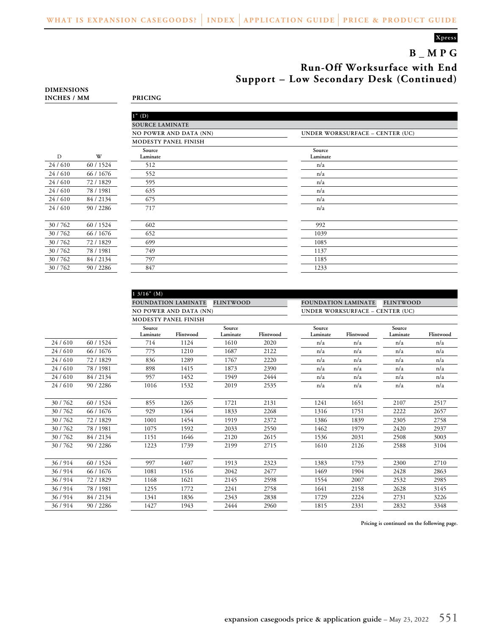### **Xpress**

# **B\_MPG Run-Off Worksurface with End Support – Low Secondary Desk (Continued)**

|        |           | $1"$ (D)                    |
|--------|-----------|-----------------------------|
|        |           | <b>SOURCE LAMINATE</b>      |
|        |           | NO POWER AND DATA (N        |
|        |           | <b>MODESTY PANEL FINISH</b> |
| D      | W         | Source<br>Laminate          |
| 24/610 | 60 / 1524 | 512                         |
| 24/610 | 66 / 1676 | 552                         |
| 24/610 | 72 / 1829 | 595                         |
| 24/610 | 78 / 1981 | 635                         |
| 24/610 | 84 / 2134 | 675                         |
| 24/610 | 90 / 2286 | 717                         |
|        |           |                             |
| 30/762 | 60 / 1524 | 602                         |
| 30/762 | 66 / 1676 | 652                         |
| 30/762 | 72 / 1829 | 699                         |
| 30/762 | 78 / 1981 | 749                         |
| 30/762 | 84 / 2134 | 797                         |
| 30/762 | 90 / 2286 | 847                         |
|        |           |                             |

**1 3/16" (M)**

**INCHES / MM PRICING**

**DIMENSIONS**

|        |           | $1"$ (D)               |                                        |
|--------|-----------|------------------------|----------------------------------------|
|        |           | <b>SOURCE LAMINATE</b> |                                        |
|        |           | NO POWER AND DATA (NN) | <b>UNDER WORKSURFACE - CENTER (UC)</b> |
|        |           | MODESTY PANEL FINISH   |                                        |
| D      | W         | Source<br>Laminate     | Source<br>Laminate                     |
| 24/610 | 60 / 1524 | 512                    | n/a                                    |
| 24/610 | 66 / 1676 | 552                    | n/a                                    |
| 24/610 | 72/1829   | 595                    | n/a                                    |
| 24/610 | 78 / 1981 | 635                    | n/a                                    |
| 24/610 | 84/2134   | 675                    | n/a                                    |
| 24/610 | 90/2286   | 717                    | n/a                                    |
|        |           |                        |                                        |
| 30/762 | 60 / 1524 | 602                    | 992                                    |
| 30/762 | 66 / 1676 | 652                    | 1039                                   |
| 30/762 | 72/1829   | 699                    | 1085                                   |
| 30/762 | 78 / 1981 | 749                    | 1137                                   |
| 30/762 | 84/2134   | 797                    | 1185                                   |
| 30/762 | 90 / 2286 | 847                    | 1233                                   |
|        |           |                        |                                        |

|        |           |                               | <b>FLINTWOOD</b><br><b>FOUNDATION LAMINATE</b> |                    |           | <b>FLINTWOOD</b><br><b>FOUNDATION LAMINATE</b> |           |                    |           |
|--------|-----------|-------------------------------|------------------------------------------------|--------------------|-----------|------------------------------------------------|-----------|--------------------|-----------|
|        |           | <b>NO POWER AND DATA (NN)</b> |                                                |                    |           | UNDER WORKSURFACE - CENTER (UC)                |           |                    |           |
|        |           |                               | MODESTY PANEL FINISH                           |                    |           |                                                |           |                    |           |
|        |           | Source<br>Laminate            | Flintwood                                      | Source<br>Laminate | Flintwood | Source<br>Laminate                             | Flintwood | Source<br>Laminate | Flintwood |
| 24/610 | 60 / 1524 | 714                           | 1124                                           | 1610               | 2020      | n/a                                            | n/a       | n/a                | n/a       |
| 24/610 | 66 / 1676 | 775                           | 1210                                           | 1687               | 2122      | n/a                                            | n/a       | n/a                | n/a       |
| 24/610 | 72/1829   | 836                           | 1289                                           | 1767               | 2220      | n/a                                            | n/a       | n/a                | n/a       |
| 24/610 | 78 / 1981 | 898                           | 1415                                           | 1873               | 2390      | n/a                                            | n/a       | n/a                | n/a       |
| 24/610 | 84 / 2134 | 957                           | 1452                                           | 1949               | 2444      | n/a                                            | n/a       | n/a                | n/a       |
| 24/610 | 90 / 2286 | 1016                          | 1532                                           | 2019               | 2535      | n/a                                            | n/a       | n/a                | n/a       |
| 30/762 | 60 / 1524 | 855                           | 1265                                           | 1721               | 2131      | 1241                                           | 1651      | 2107               | 2517      |
| 30/762 | 66 / 1676 | 929                           | 1364                                           | 1833               | 2268      | 1316                                           | 1751      | 2222               | 2657      |
| 30/762 | 72/1829   | 1001                          | 1454                                           | 1919               | 2372      | 1386                                           | 1839      | 2305               | 2758      |
| 30/762 | 78 / 1981 | 1075                          | 1592                                           | 2033               | 2550      | 1462                                           | 1979      | 2420               | 2937      |
| 30/762 | 84 / 2134 | 1151                          | 1646                                           | 2120               | 2615      | 1536                                           | 2031      | 2508               | 3003      |
| 30/762 | 90 / 2286 | 1223                          | 1739                                           | 2199               | 2715      | 1610                                           | 2126      | 2588               | 3104      |
| 36/914 | 60 / 1524 | 997                           | 1407                                           | 1913               | 2323      | 1383                                           | 1793      | 2300               | 2710      |
| 36/914 | 66 / 1676 | 1081                          | 1516                                           | 2042               | 2477      | 1469                                           | 1904      | 2428               | 2863      |
| 36/914 | 72/1829   | 1168                          | 1621                                           | 2145               | 2598      | 1554                                           | 2007      | 2532               | 2985      |
| 36/914 | 78 / 1981 | 1255                          | 1772                                           | 2241               | 2758      | 1641                                           | 2158      | 2628               | 3145      |
| 36/914 | 84 / 2134 | 1341                          | 1836                                           | 2343               | 2838      | 1729                                           | 2224      | 2731               | 3226      |
| 36/914 | 90 / 2286 | 1427                          | 1943                                           | 2444               | 2960      | 1815                                           | 2331      | 2832               | 3348      |

**Pricing is continued on the following page.**